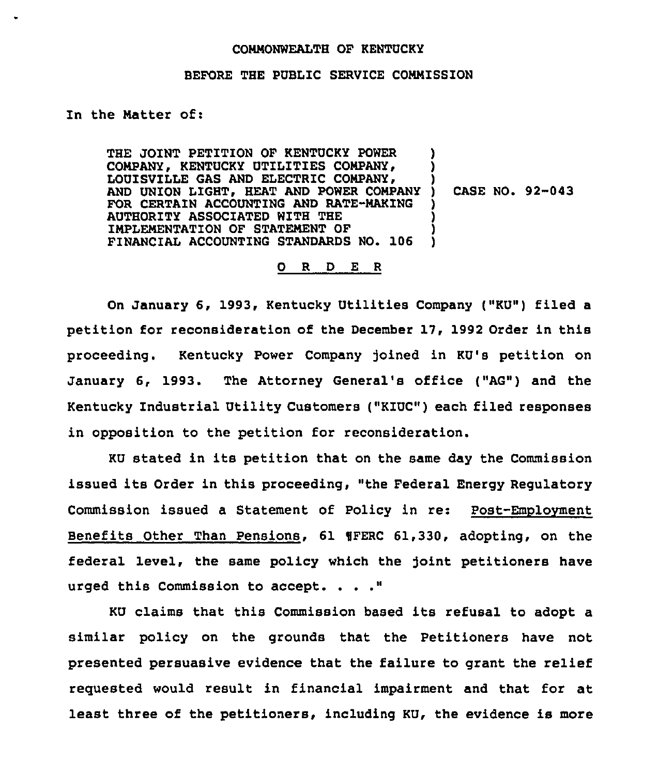## COMMONWEALTH OF KENTUCKY

## BEFORE THE PUBLIC SERVICE COMMISSION

In the Matter of:

THE JOINT PETITION OF KENTUCKY POWER COMPANY, KENTUCKY UTILITIES COMPANY, LOUISVILLE GAS AND ELECTRIC COMPANY, AND UNION LIGHT, HEAT AND POWER COMPANY FOR CERTAIN ACCOUNTING AND RATE-MAKING AUTHORITY ASSOCIATED WITH THE IMPLEMENTATION OF STATEMENT OF FINANCIAL ACCOUNTING STANDARDS NO. 106 ) ) ) ) CASE NO. 92-043 ) ) ) )

## 0 R <sup>D</sup> E <sup>R</sup>

On January 6, 1993, Kentucky Utilities Company ("KU") filed a petition for reconsideration of the December 17, 1992 Order in this proceeding. Kentucky Power Company joined in KU's petition on January 6, 1993. The Attorney General's office ("AG") and the Kentucky Industrial Utility Customers ("KZUC") each filed responses in opposition to the petition for reconsideration.

KU stated in its petition that on the same day the Commission issued its Order in this proceeding, "the Federal Energy Regulatory Commission issued a Statement of Policy in re: Post-Emplovment Benefits Other Than Pensions, 61 WFERC 61,330, adopting, on the federal level, the same policy which the joint petitioners have urged this Commission to accept.

KU claims that this Commission based its refusal to adopt a similar policy on the grounds that the Petitioners have not presented persuasive evidence that the failure to grant the relief requested would result in financial impairment and that for at least three of the petitioners, including KU, the evidence is more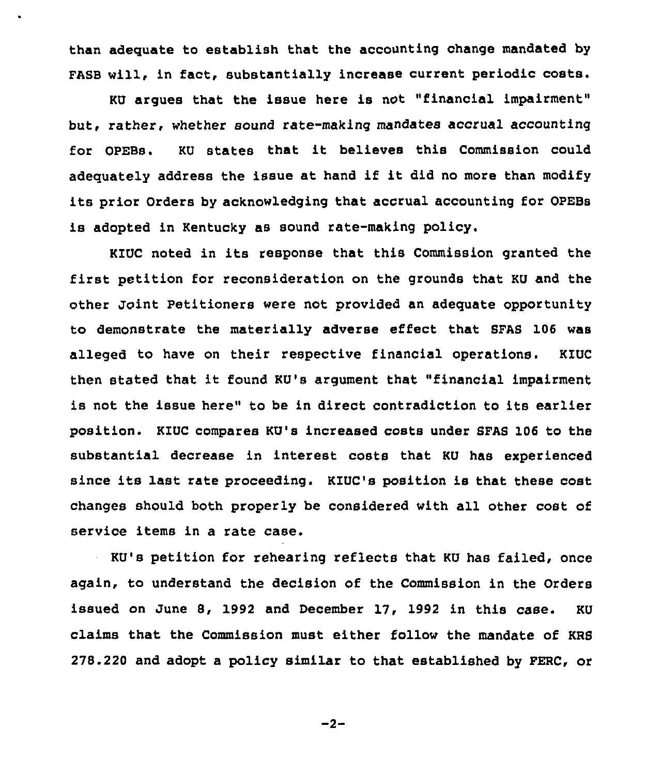than adequate to establish that the accounting change mandated by FASB will, in fact, substantially increase current periodic costs.

KU argues that the issue here is not "financial impairment" but, rather, whether sound rate-making mandatee accrual accounting for OPEBs. KU states that it believes this Commission could adequately address the issue at hand if it did no more than modify its prior Orders by acknowledging that accrual accounting for OPEBs is adopted in Kentucky as sound rate-making policy.

KIUC noted in its response that this Commission granted the first petition for reconsideration on the grounds that KU and the other Joint Petitioners were not provided an adequate opportunity to demonstrate the materially adverse effect that SFAS 106 was alleged to have on their respective financial operations. KIUC then stated that it found KU's argument that. "financial impairment is not the issue here" to be in direct contradiction to its earlier position. KIUC compares KU's increased costs under SFAS 106 to the substantial decrease in interest costs that KU has experienced since its last rate proceeding. KIUC's position is that these cost changes should both properly be considered with all other cost of service items in a rate case.

KU's petition for rehearing reflects that KU has failed, once again, to understand the decision of the Commission in the Orders issued on June 8, 1992 and December 17, 1992 in this case. KU claims that the Commission must either follow the mandate of KRS 278.220 and adopt a policy similar to that established by PERC, or

 $-2-$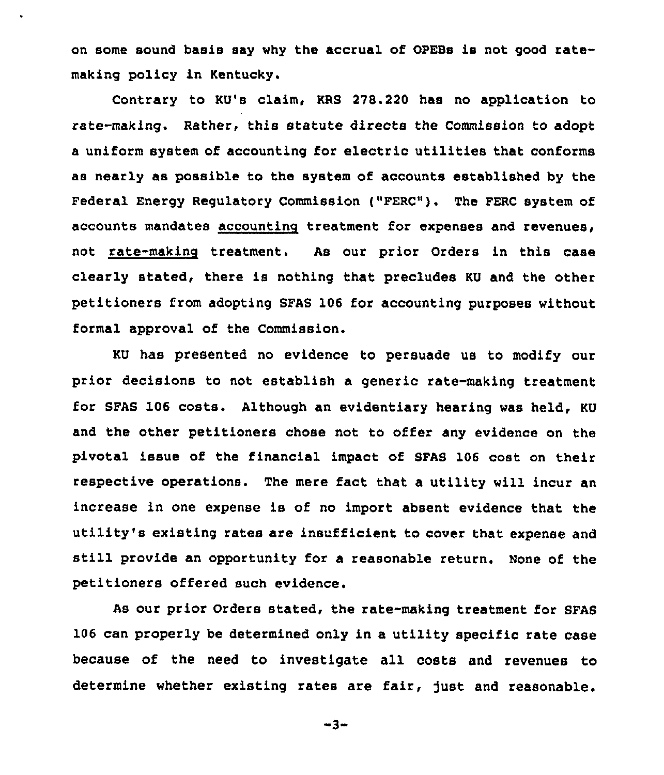on some sound basis say why the accrual of OPEBs is not good ratemaking policy in Kentucky.

Contrary to KU's claim, KRS 278.220 has no application to rate-making. Rather, this statute directs the Commission to adopt a uniform system of accounting for electric utilities that conforms as nearly as possible to the system of accounts established by the Federal Energy Regulatory Commission ("FERC"). The FERC system of accounts mandates accounting treatment for expenses and revenues, not rate-making treatment. As our prior Orders in this case clearly stated, there is nothing that precludes KU and the other petitioners from adopting SFAS 106 for accounting purposes without formal approval of the Commission.

KU has presented no evidence to persuade us to modify our prior decisions to not establish a generic rate-making treatment for SFAS 106 costs. Although an evidentiary hearing was held, KU and the other petitioners chose not to offer any evidence on the pivotal issue of the financial impact of SFAS 106 cost on their respective operations. The mere fact that a utility will incur an increase in one expense is of no import absent evidence that the utility's existing rates are insufficient to cover that expense and still provide an opportunity for a reasonable return. None of the petitioners offered such evidence.

As our prior Orders stated, the rate-making treatment for SFAS 106 can properly be determined only in a utility specific rate case because of the need to investigate all costs and revenues to determine whether existing rates are fair, just and reasonable.

-3-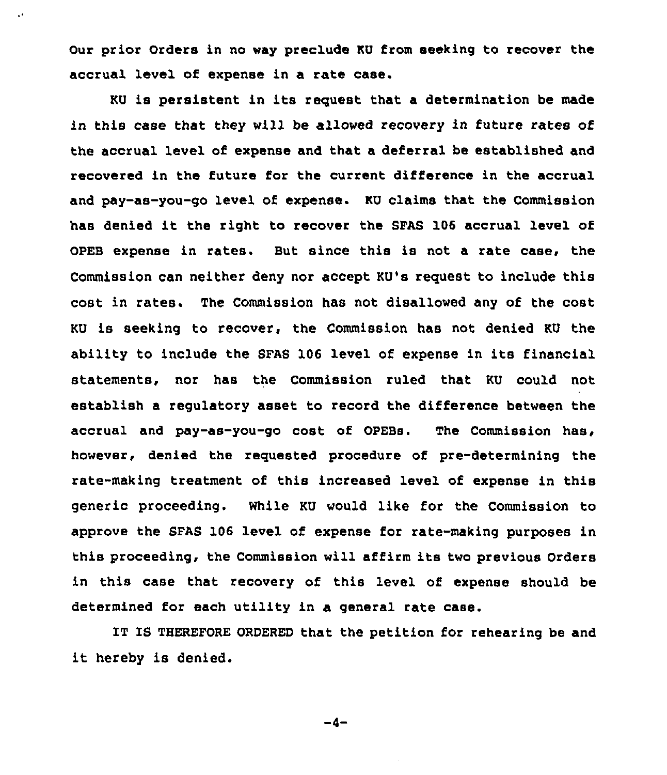Our prior Orders in no way preclude KU from seeking to recover the accrual level of expense in a rate case.

KU is persistent in its request that a determination be made in this case that they will be allowed recovery in future rates of the accrual level of expense and that a deferral be established and recovered in the future for the current difference in the accrual and pay-as-you-go level of expense. KU claims that the Commission has denied it the right to recover the SFAS <sup>106</sup> accrual level of OPEB expense in rates. But since this is not a rate case, the Commission can neither deny nor accept KU's request to include this cost in rates. The Commission has not disallowed any of the cost KU is seeking to recover, the Commission has not denied KU the ability to include the SFAS 106 level of expense in its financial statements, nor has the Commission ruled that KU could not establish a regulatory asset to record the difference between the accrual and pay-as-you-go cost of OPEBs. The Commission has, however, denied the requested procedure of pre-determining the rate-making treatment of this increased level of expense in this generic proceeding. While KU would like for the Commission to approve the SFAS 106 level of expense for rate-making purposes in this proceeding, the Commission will affirm its two previous Orders in this case that recovery of this level of expense should be determined for each utility in a general rate case.

IT IS THEREFORE ORDERED that the petition for rehearing be and it hereby is denied.

$$
-4-
$$